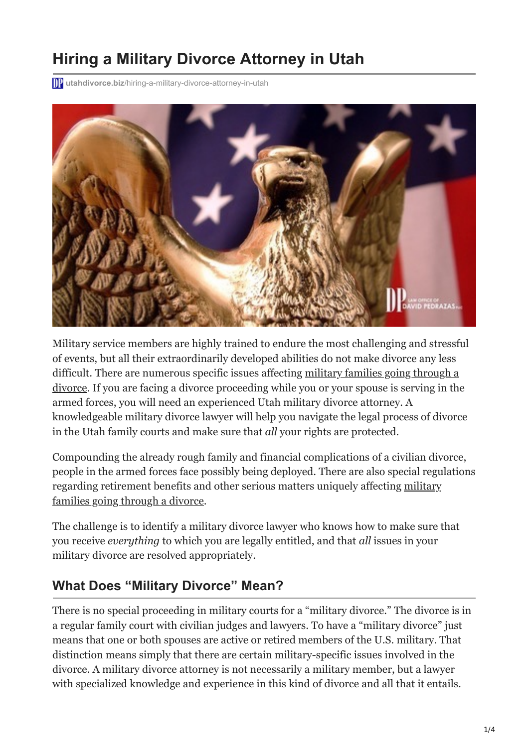# **Hiring a Military Divorce Attorney in Utah**

**10** utahdivorce.biz[/hiring-a-military-divorce-attorney-in-utah](https://utahdivorce.biz/hiring-a-military-divorce-attorney-in-utah/)



Military service members are highly trained to endure the most challenging and stressful of events, but all their extraordinarily developed abilities do not make divorce any less difficult. There are numerous specific issues affecting military families going through a [divorce. If you are facing a divorce proceeding while you or your spouse is serving in the](https://utahdivorce.biz/divorce-separation-resources) armed forces, you will need an experienced Utah military divorce attorney. A knowledgeable military divorce lawyer will help you navigate the legal process of divorce in the Utah family courts and make sure that *all* your rights are protected.

Compounding the already rough family and financial complications of a civilian divorce, people in the armed forces face possibly being deployed. There are also special regulations [regarding retirement benefits and other serious matters uniquely affecting military](https://utahdivorce.biz/blog/index.html) families going through a divorce.

The challenge is to identify a military divorce lawyer who knows how to make sure that you receive *everything* to which you are legally entitled, and that *all* issues in your military divorce are resolved appropriately.

### **What Does "Military Divorce" Mean?**

There is no special proceeding in military courts for a "military divorce." The divorce is in a regular family court with civilian judges and lawyers. To have a "military divorce" just means that one or both spouses are active or retired members of the U.S. military. That distinction means simply that there are certain military-specific issues involved in the divorce. A military divorce attorney is not necessarily a military member, but a lawyer with specialized knowledge and experience in this kind of divorce and all that it entails.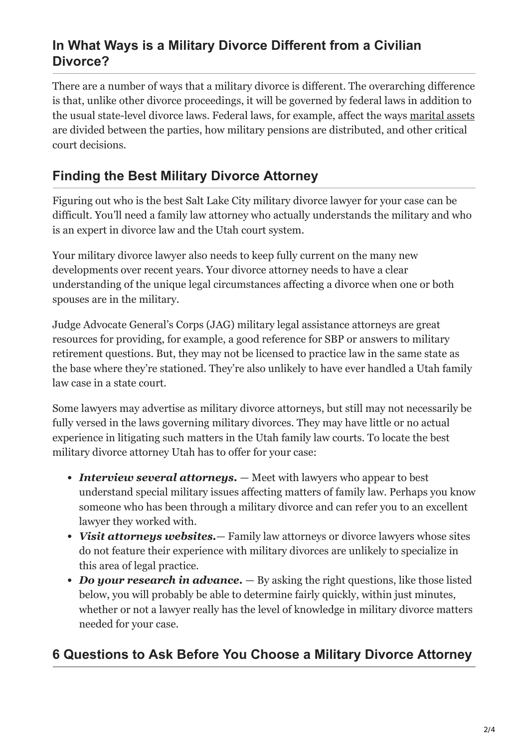### **In What Ways is a Military Divorce Different from a Civilian Divorce?**

There are a number of ways that a military divorce is different. The overarching difference is that, unlike other divorce proceedings, it will be governed by federal laws in addition to the usual state-level divorce laws. Federal laws, for example, affect the ways [marital assets](https://utahdivorce.biz/Aggressive-Compassionate-Representation.shtml) are divided between the parties, how military pensions are distributed, and other critical court decisions.

# **Finding the Best Military Divorce Attorney**

Figuring out who is the best Salt Lake City military divorce lawyer for your case can be difficult. You'll need a family law attorney who actually understands the military and who is an expert in divorce law and the Utah court system.

Your military divorce lawyer also needs to keep fully current on the many new developments over recent years. Your divorce attorney needs to have a clear understanding of the unique legal circumstances affecting a divorce when one or both spouses are in the military.

Judge Advocate General's Corps (JAG) military legal assistance attorneys are great resources for providing, for example, a good reference for SBP or answers to military retirement questions. But, they may not be licensed to practice law in the same state as the base where they're stationed. They're also unlikely to have ever handled a Utah family law case in a state court.

Some lawyers may advertise as military divorce attorneys, but still may not necessarily be fully versed in the laws governing military divorces. They may have little or no actual experience in litigating such matters in the Utah family law courts. To locate the best military divorce attorney Utah has to offer for your case:

- *Interview several attorneys.* Meet with lawyers who appear to best understand special military issues affecting matters of family law. Perhaps you know someone who has been through a military divorce and can refer you to an excellent lawyer they worked with.
- *Visit attorneys websites.* Family law attorneys or divorce lawyers whose sites do not feature their experience with military divorces are unlikely to specialize in this area of legal practice.
- *Do your research in advance*. By asking the right questions, like those listed below, you will probably be able to determine fairly quickly, within just minutes, whether or not a lawyer really has the level of knowledge in military divorce matters needed for your case.

## **6 Questions to Ask Before You Choose a Military Divorce Attorney**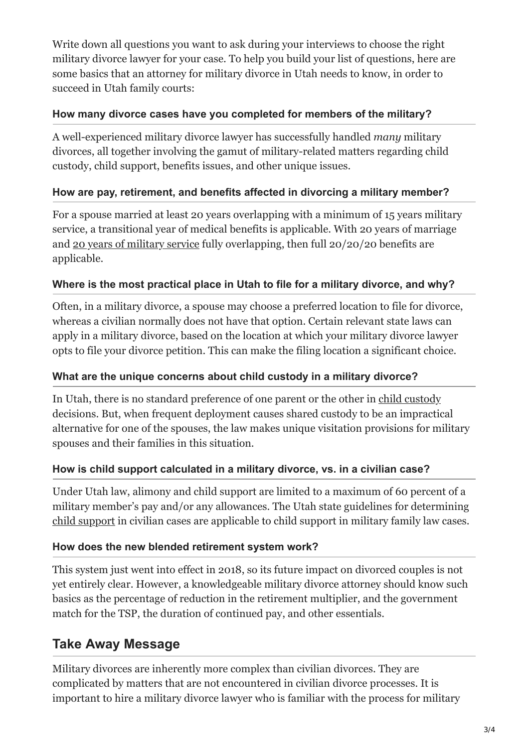Write down all questions you want to ask during your interviews to choose the right military divorce lawyer for your case. To help you build your list of questions, here are some basics that an attorney for military divorce in Utah needs to know, in order to succeed in Utah family courts:

#### **How many divorce cases have you completed for members of the military?**

A well-experienced military divorce lawyer has successfully handled *many* military divorces, all together involving the gamut of military-related matters regarding child custody, child support, benefits issues, and other unique issues.

#### **How are pay, retirement, and benefits affected in divorcing a military member?**

For a spouse married at least 20 years overlapping with a minimum of 15 years military service, a transitional year of medical benefits is applicable. With 20 years of marriage and [20 years of military service](https://utahdivorce.biz/Contact.shtml) fully overlapping, then full 20/20/20 benefits are applicable.

#### **Where is the most practical place in Utah to file for a military divorce, and why?**

Often, in a military divorce, a spouse may choose a preferred location to file for divorce, whereas a civilian normally does not have that option. Certain relevant state laws can apply in a military divorce, based on the location at which your military divorce lawyer opts to file your divorce petition. This can make the filing location a significant choice.

#### **What are the unique concerns about child custody in a military divorce?**

In Utah, there is no standard preference of one parent or the other in [child custody](https://utahdivorce.biz/Child-Custody/index.html) decisions. But, when frequent deployment causes shared custody to be an impractical alternative for one of the spouses, the law makes unique visitation provisions for military spouses and their families in this situation.

#### **How is child support calculated in a military divorce, vs. in a civilian case?**

Under Utah law, alimony and child support are limited to a maximum of 60 percent of a military member's pay and/or any allowances. The Utah state guidelines for determining [child support](https://utahdivorce.biz/Child-Support/index.html) in civilian cases are applicable to child support in military family law cases.

#### **How does the new blended retirement system work?**

This system just went into effect in 2018, so its future impact on divorced couples is not yet entirely clear. However, a knowledgeable military divorce attorney should know such basics as the percentage of reduction in the retirement multiplier, and the government match for the TSP, the duration of continued pay, and other essentials.

## **Take Away Message**

Military divorces are inherently more complex than civilian divorces. They are complicated by matters that are not encountered in civilian divorce processes. It is important to hire a military divorce lawyer who is familiar with the process for military